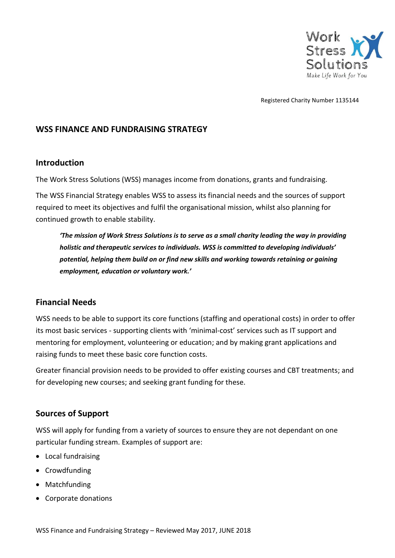

Registered Charity Number 1135144

#### **WSS FINANCE AND FUNDRAISING STRATEGY**

#### **Introduction**

The Work Stress Solutions (WSS) manages income from donations, grants and fundraising.

The WSS Financial Strategy enables WSS to assess its financial needs and the sources of support required to meet its objectives and fulfil the organisational mission, whilst also planning for continued growth to enable stability.

*'The mission of Work Stress Solutions is to serve as a small charity leading the way in providing holistic and therapeutic services to individuals. WSS is committed to developing individuals' potential, helping them build on or find new skills and working towards retaining or gaining employment, education or voluntary work.'*

### **Financial Needs**

WSS needs to be able to support its core functions (staffing and operational costs) in order to offer its most basic services - supporting clients with 'minimal-cost' services such as IT support and mentoring for employment, volunteering or education; and by making grant applications and raising funds to meet these basic core function costs.

Greater financial provision needs to be provided to offer existing courses and CBT treatments; and for developing new courses; and seeking grant funding for these.

### **Sources of Support**

WSS will apply for funding from a variety of sources to ensure they are not dependant on one particular funding stream. Examples of support are:

- Local fundraising
- Crowdfunding
- Matchfunding
- Corporate donations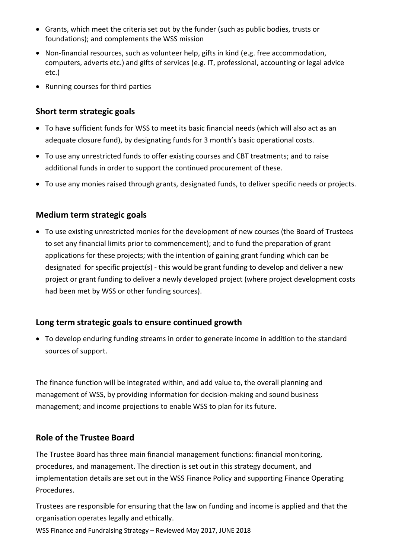- Grants, which meet the criteria set out by the funder (such as public bodies, trusts or foundations); and complements the WSS mission
- Non-financial resources, such as volunteer help, gifts in kind (e.g. free accommodation, computers, adverts etc.) and gifts of services (e.g. IT, professional, accounting or legal advice etc.)
- Running courses for third parties

### **Short term strategic goals**

- To have sufficient funds for WSS to meet its basic financial needs (which will also act as an adequate closure fund), by designating funds for 3 month's basic operational costs.
- To use any unrestricted funds to offer existing courses and CBT treatments; and to raise additional funds in order to support the continued procurement of these.
- To use any monies raised through grants*,* designated funds, to deliver specific needs or projects.

# **Medium term strategic goals**

• To use existing unrestricted monies for the development of new courses (the Board of Trustees to set any financial limits prior to commencement); and to fund the preparation of grant applications for these projects; with the intention of gaining grant funding which can be designated for specific project(s) - this would be grant funding to develop and deliver a new project or grant funding to deliver a newly developed project (where project development costs had been met by WSS or other funding sources).

# **Long term strategic goals to ensure continued growth**

• To develop enduring funding streams in order to generate income in addition to the standard sources of support.

The finance function will be integrated within, and add value to, the overall planning and management of WSS, by providing information for decision-making and sound business management; and income projections to enable WSS to plan for its future.

# **Role of the Trustee Board**

The Trustee Board has three main financial management functions: financial monitoring, procedures, and management. The direction is set out in this strategy document, and implementation details are set out in the WSS Finance Policy and supporting Finance Operating Procedures.

Trustees are responsible for ensuring that the law on funding and income is applied and that the organisation operates legally and ethically.

WSS Finance and Fundraising Strategy – Reviewed May 2017, JUNE 2018